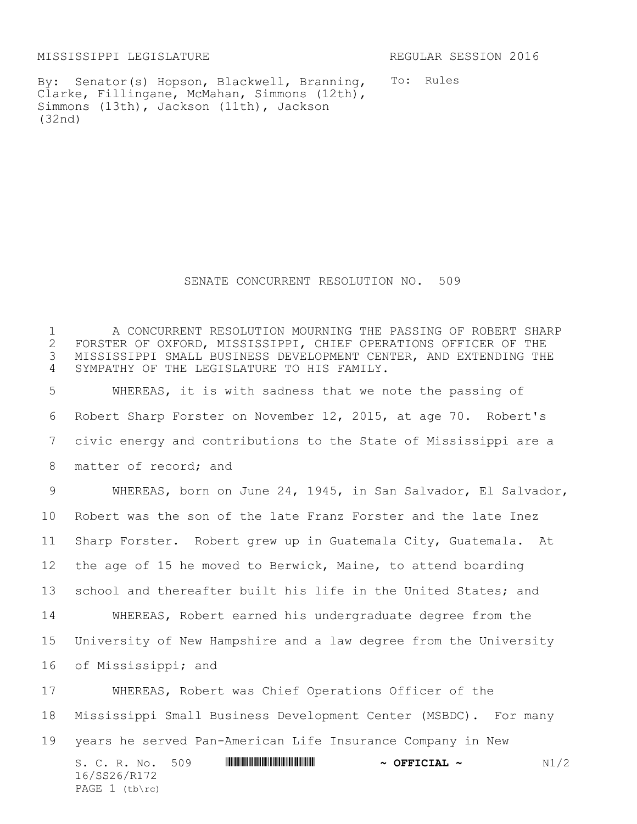MISSISSIPPI LEGISLATURE REGULAR SESSION 2016

By: Senator(s) Hopson, Blackwell, Branning, Clarke, Fillingane, McMahan, Simmons (12th), Simmons (13th), Jackson (11th), Jackson (32nd)

To: Rules

SENATE CONCURRENT RESOLUTION NO. 509

 A CONCURRENT RESOLUTION MOURNING THE PASSING OF ROBERT SHARP 2 FORSTER OF OXFORD, MISSISSIPPI, CHIEF OPERATIONS OFFICER OF THE<br>3 MISSISSIPPI SMALL BUSINESS DEVELOPMENT CENTER, AND EXTENDING TH MISSISSIPPI SMALL BUSINESS DEVELOPMENT CENTER, AND EXTENDING THE SYMPATHY OF THE LEGISLATURE TO HIS FAMILY.

 WHEREAS, it is with sadness that we note the passing of Robert Sharp Forster on November 12, 2015, at age 70. Robert's civic energy and contributions to the State of Mississippi are a 8 matter of record; and

 WHEREAS, born on June 24, 1945, in San Salvador, El Salvador, Robert was the son of the late Franz Forster and the late Inez Sharp Forster. Robert grew up in Guatemala City, Guatemala. At the age of 15 he moved to Berwick, Maine, to attend boarding school and thereafter built his life in the United States; and WHEREAS, Robert earned his undergraduate degree from the University of New Hampshire and a law degree from the University of Mississippi; and

S. C. R. No. 509 \*SS26/R172\* **~ OFFICIAL ~** N1/2 16/SS26/R172 PAGE (tb\rc) WHEREAS, Robert was Chief Operations Officer of the Mississippi Small Business Development Center (MSBDC). For many years he served Pan-American Life Insurance Company in New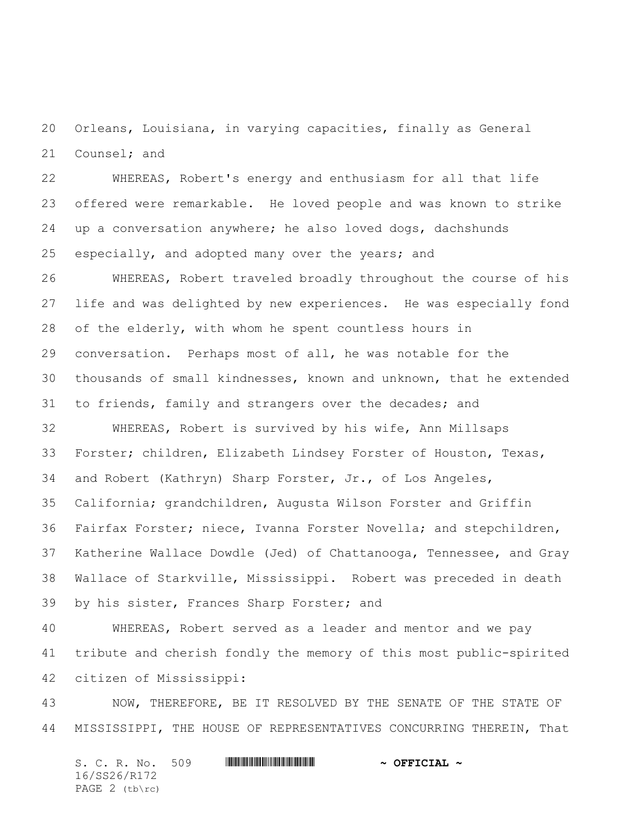Orleans, Louisiana, in varying capacities, finally as General Counsel; and

 WHEREAS, Robert's energy and enthusiasm for all that life offered were remarkable. He loved people and was known to strike up a conversation anywhere; he also loved dogs, dachshunds especially, and adopted many over the years; and

 WHEREAS, Robert traveled broadly throughout the course of his life and was delighted by new experiences. He was especially fond of the elderly, with whom he spent countless hours in conversation. Perhaps most of all, he was notable for the thousands of small kindnesses, known and unknown, that he extended to friends, family and strangers over the decades; and

 WHEREAS, Robert is survived by his wife, Ann Millsaps Forster; children, Elizabeth Lindsey Forster of Houston, Texas, and Robert (Kathryn) Sharp Forster, Jr., of Los Angeles, California; grandchildren, Augusta Wilson Forster and Griffin Fairfax Forster; niece, Ivanna Forster Novella; and stepchildren, Katherine Wallace Dowdle (Jed) of Chattanooga, Tennessee, and Gray Wallace of Starkville, Mississippi. Robert was preceded in death by his sister, Frances Sharp Forster; and

 WHEREAS, Robert served as a leader and mentor and we pay tribute and cherish fondly the memory of this most public-spirited citizen of Mississippi:

 NOW, THEREFORE, BE IT RESOLVED BY THE SENATE OF THE STATE OF MISSISSIPPI, THE HOUSE OF REPRESENTATIVES CONCURRING THEREIN, That

S. C. R. No. 509 \*SS26/R172\* **~ OFFICIAL ~** 16/SS26/R172 PAGE 2 (tb\rc)